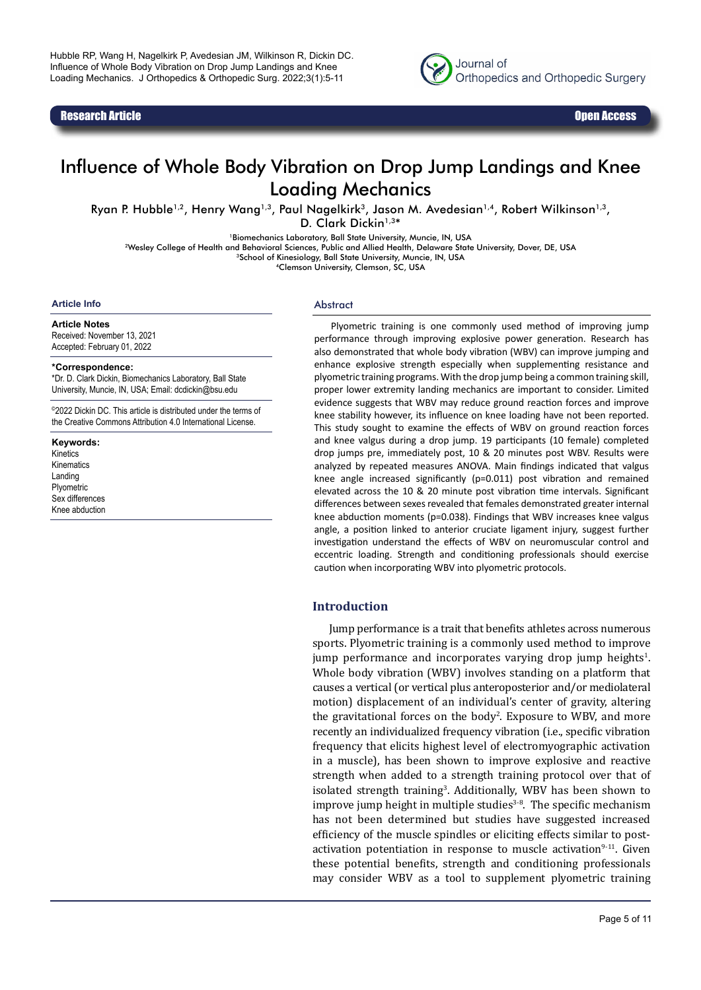Research Article Open Access



# Influence of Whole Body Vibration on Drop Jump Landings and Knee Loading Mechanics

Ryan P. Hubble<sup>1,2</sup>, Henry Wang<sup>1,3</sup>, Paul Nagelkirk<sup>3</sup>, Jason M. Avedesian<sup>1,4</sup>, Robert Wilkinson<sup>1,3</sup>,

D. Clark Dickin<sup>1,3\*</sup>

1Biomechanics Laboratory, Ball State University, Muncie, IN, USA

2Wesley College of Health and Behavioral Sciences, Public and Allied Health, Delaware State University, Dover, DE, USA

<sup>3</sup>School of Kinesiology, Ball State University, Muncie, IN, USA

4Clemson University, Clemson, SC, USA

#### **Article Info**

**Article Notes** Received: November 13, 2021 Accepted: February 01, 2022

#### **\*Correspondence:**

\*Dr. D. Clark Dickin, Biomechanics Laboratory, Ball State University, Muncie, IN, USA; Email: dcdickin@bsu.edu

©2022 Dickin DC. This article is distributed under the terms of the Creative Commons Attribution 4.0 International License.

**Keywords:** Kinetics Kinematics Landing Plyometric Sex differences Knee abduction

#### **Abstract**

Plyometric training is one commonly used method of improving jump performance through improving explosive power generation. Research has also demonstrated that whole body vibration (WBV) can improve jumping and enhance explosive strength especially when supplementing resistance and plyometric training programs. With the drop jump being a common training skill, proper lower extremity landing mechanics are important to consider. Limited evidence suggests that WBV may reduce ground reaction forces and improve knee stability however, its influence on knee loading have not been reported. This study sought to examine the effects of WBV on ground reaction forces and knee valgus during a drop jump. 19 participants (10 female) completed drop jumps pre, immediately post, 10 & 20 minutes post WBV. Results were analyzed by repeated measures ANOVA. Main findings indicated that valgus knee angle increased significantly (p=0.011) post vibration and remained elevated across the 10 & 20 minute post vibration time intervals. Significant differences between sexes revealed that females demonstrated greater internal knee abduction moments (p=0.038). Findings that WBV increases knee valgus angle, a position linked to anterior cruciate ligament injury, suggest further investigation understand the effects of WBV on neuromuscular control and eccentric loading. Strength and conditioning professionals should exercise caution when incorporating WBV into plyometric protocols.

#### **Introduction**

Jump performance is a trait that benefits athletes across numerous sports. Plyometric training is a commonly used method to improve  $j$ ump performance and incorporates varying drop  $j$ ump heights $l$ . Whole body vibration (WBV) involves standing on a platform that causes a vertical (or vertical plus anteroposterior and/or mediolateral motion) displacement of an individual's center of gravity, altering the gravitational forces on the body<sup>2</sup>. Exposure to WBV, and more recently an individualized frequency vibration (i.e., specific vibration frequency that elicits highest level of electromyographic activation in a muscle), has been shown to improve explosive and reactive strength when added to a strength training protocol over that of isolated strength training<sup>3</sup>. Additionally, WBV has been shown to improve jump height in multiple studies $3-8$ . The specific mechanism has not been determined but studies have suggested increased efficiency of the muscle spindles or eliciting effects similar to postactivation potentiation in response to muscle activation $9-11$ . Given these potential benefits, strength and conditioning professionals may consider WBV as a tool to supplement plyometric training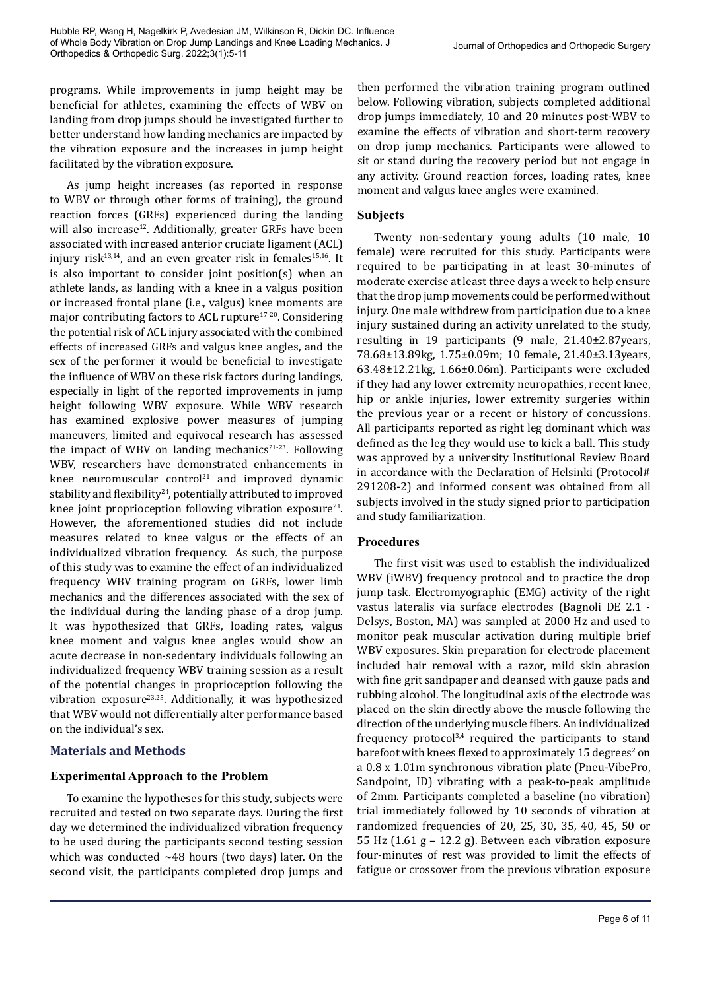programs. While improvements in jump height may be beneficial for athletes, examining the effects of WBV on landing from drop jumps should be investigated further to better understand how landing mechanics are impacted by the vibration exposure and the increases in jump height facilitated by the vibration exposure.

As jump height increases (as reported in response to WBV or through other forms of training), the ground reaction forces (GRFs) experienced during the landing will also increase<sup>12</sup>. Additionally, greater GRFs have been associated with increased anterior cruciate ligament (ACL) injury risk $13,14$ , and an even greater risk in females $15,16$ . It is also important to consider joint position(s) when an athlete lands, as landing with a knee in a valgus position or increased frontal plane (i.e., valgus) knee moments are major contributing factors to ACL rupture<sup>17-20</sup>. Considering the potential risk of ACL injury associated with the combined effects of increased GRFs and valgus knee angles, and the sex of the performer it would be beneficial to investigate the influence of WBV on these risk factors during landings, especially in light of the reported improvements in jump height following WBV exposure. While WBV research has examined explosive power measures of jumping maneuvers, limited and equivocal research has assessed the impact of WBV on landing mechanics<sup>21-23</sup>. Following WBV, researchers have demonstrated enhancements in knee neuromuscular control<sup>21</sup> and improved dynamic stability and flexibility<sup>24</sup>, potentially attributed to improved knee joint proprioception following vibration exposure<sup>21</sup>. However, the aforementioned studies did not include measures related to knee valgus or the effects of an individualized vibration frequency. As such, the purpose of this study was to examine the effect of an individualized frequency WBV training program on GRFs, lower limb mechanics and the differences associated with the sex of the individual during the landing phase of a drop jump. It was hypothesized that GRFs, loading rates, valgus knee moment and valgus knee angles would show an acute decrease in non-sedentary individuals following an individualized frequency WBV training session as a result of the potential changes in proprioception following the vibration exposure23,25. Additionally, it was hypothesized that WBV would not differentially alter performance based on the individual's sex.

# **Materials and Methods**

# **Experimental Approach to the Problem**

To examine the hypotheses for this study, subjects were recruited and tested on two separate days. During the first day we determined the individualized vibration frequency to be used during the participants second testing session which was conducted  $~148$  hours (two days) later. On the second visit, the participants completed drop jumps and

then performed the vibration training program outlined below. Following vibration, subjects completed additional drop jumps immediately, 10 and 20 minutes post-WBV to examine the effects of vibration and short-term recovery on drop jump mechanics. Participants were allowed to sit or stand during the recovery period but not engage in any activity. Ground reaction forces, loading rates, knee moment and valgus knee angles were examined.

# **Subjects**

Twenty non-sedentary young adults (10 male, 10 female) were recruited for this study. Participants were required to be participating in at least 30-minutes of moderate exercise at least three days a week to help ensure that the drop jump movements could be performed without injury. One male withdrew from participation due to a knee injury sustained during an activity unrelated to the study, resulting in 19 participants (9 male, 21.40±2.87years, 78.68±13.89kg, 1.75±0.09m; 10 female, 21.40±3.13years, 63.48±12.21kg, 1.66±0.06m). Participants were excluded if they had any lower extremity neuropathies, recent knee, hip or ankle injuries, lower extremity surgeries within the previous year or a recent or history of concussions. All participants reported as right leg dominant which was defined as the leg they would use to kick a ball. This study was approved by a university Institutional Review Board in accordance with the Declaration of Helsinki (Protocol# 291208-2) and informed consent was obtained from all subjects involved in the study signed prior to participation and study familiarization.

# **Procedures**

The first visit was used to establish the individualized WBV (iWBV) frequency protocol and to practice the drop jump task. Electromyographic (EMG) activity of the right vastus lateralis via surface electrodes (Bagnoli DE 2.1 - Delsys, Boston, MA) was sampled at 2000 Hz and used to monitor peak muscular activation during multiple brief WBV exposures. Skin preparation for electrode placement included hair removal with a razor, mild skin abrasion with fine grit sandpaper and cleansed with gauze pads and rubbing alcohol. The longitudinal axis of the electrode was placed on the skin directly above the muscle following the direction of the underlying muscle fibers. An individualized frequency protocol $3,4$  required the participants to stand  $bar$  foot with knees flexed to approximately 15 degrees $^2$  on a 0.8 x 1.01m synchronous vibration plate (Pneu-VibePro, Sandpoint, ID) vibrating with a peak-to-peak amplitude of 2mm. Participants completed a baseline (no vibration) trial immediately followed by 10 seconds of vibration at randomized frequencies of 20, 25, 30, 35, 40, 45, 50 or 55 Hz (1.61 g – 12.2 g). Between each vibration exposure four-minutes of rest was provided to limit the effects of fatigue or crossover from the previous vibration exposure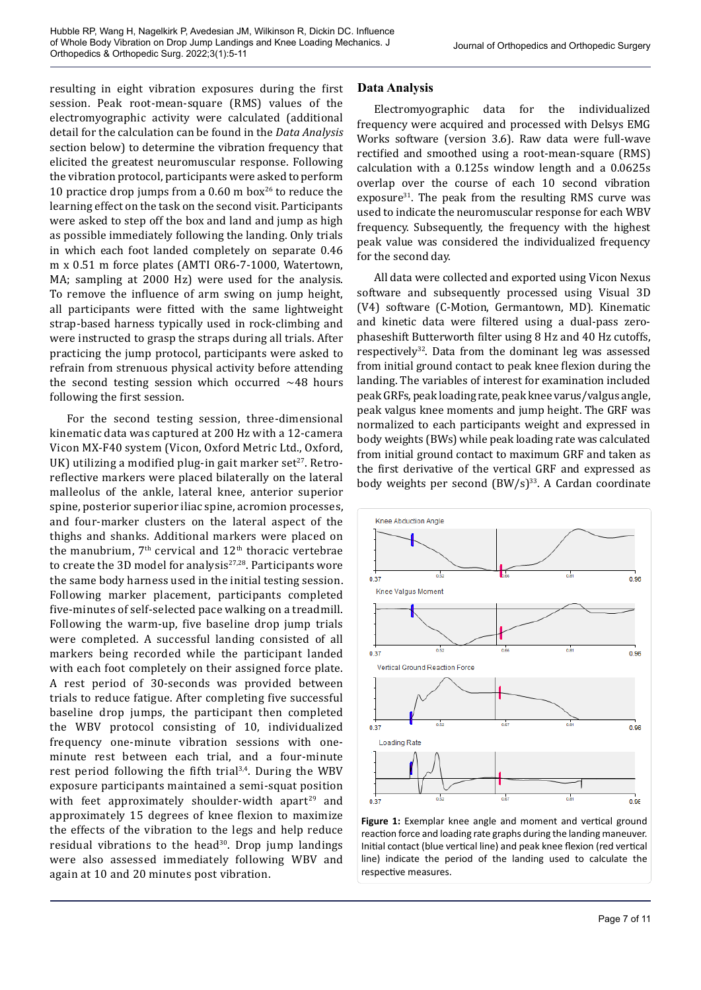resulting in eight vibration exposures during the first session. Peak root-mean-square (RMS) values of the electromyographic activity were calculated (additional detail for the calculation can be found in the *Data Analysis*  section below) to determine the vibration frequency that elicited the greatest neuromuscular response. Following the vibration protocol, participants were asked to perform 10 practice drop jumps from a 0.60 m box<sup>26</sup> to reduce the learning effect on the task on the second visit. Participants were asked to step off the box and land and jump as high as possible immediately following the landing. Only trials in which each foot landed completely on separate 0.46 m x 0.51 m force plates (AMTI OR6-7-1000, Watertown, MA; sampling at 2000 Hz) were used for the analysis. To remove the influence of arm swing on jump height, all participants were fitted with the same lightweight strap-based harness typically used in rock-climbing and were instructed to grasp the straps during all trials. After practicing the jump protocol, participants were asked to refrain from strenuous physical activity before attending the second testing session which occurred  $~148$  hours following the first session.

For the second testing session, three-dimensional kinematic data was captured at 200 Hz with a 12-camera Vicon MX-F40 system (Vicon, Oxford Metric Ltd., Oxford, UK) utilizing a modified plug-in gait marker set<sup>27</sup>. Retroreflective markers were placed bilaterally on the lateral malleolus of the ankle, lateral knee, anterior superior spine, posterior superior iliac spine, acromion processes, and four-marker clusters on the lateral aspect of the thighs and shanks. Additional markers were placed on the manubrium,  $7<sup>th</sup>$  cervical and  $12<sup>th</sup>$  thoracic vertebrae to create the 3D model for analysis $27,28$ . Participants wore the same body harness used in the initial testing session. Following marker placement, participants completed five-minutes of self-selected pace walking on a treadmill. Following the warm-up, five baseline drop jump trials were completed. A successful landing consisted of all markers being recorded while the participant landed with each foot completely on their assigned force plate. A rest period of 30-seconds was provided between trials to reduce fatigue. After completing five successful baseline drop jumps, the participant then completed the WBV protocol consisting of 10, individualized frequency one-minute vibration sessions with oneminute rest between each trial, and a four-minute rest period following the fifth trial<sup>3,4</sup>. During the WBV exposure participants maintained a semi-squat position with feet approximately shoulder-width apart<sup>29</sup> and approximately 15 degrees of knee flexion to maximize the effects of the vibration to the legs and help reduce residual vibrations to the head<sup>30</sup>. Drop jump landings were also assessed immediately following WBV and again at 10 and 20 minutes post vibration.

# **Data Analysis**

Electromyographic data for the individualized frequency were acquired and processed with Delsys EMG Works software (version 3.6). Raw data were full-wave rectified and smoothed using a root-mean-square (RMS) calculation with a 0.125s window length and a 0.0625s overlap over the course of each 10 second vibration exposure $31$ . The peak from the resulting RMS curve was used to indicate the neuromuscular response for each WBV frequency. Subsequently, the frequency with the highest peak value was considered the individualized frequency for the second day.

All data were collected and exported using Vicon Nexus software and subsequently processed using Visual 3D (V4) software (C-Motion, Germantown, MD). Kinematic and kinetic data were filtered using a dual-pass zerophaseshift Butterworth filter using 8 Hz and 40 Hz cutoffs, respectively $32$ . Data from the dominant leg was assessed from initial ground contact to peak knee flexion during the landing. The variables of interest for examination included peak GRFs, peak loading rate, peak knee varus/valgus angle, peak valgus knee moments and jump height. The GRF was normalized to each participants weight and expressed in body weights (BWs) while peak loading rate was calculated from initial ground contact to maximum GRF and taken as the first derivative of the vertical GRF and expressed as body weights per second  $(BW/s)^{33}$ . A Cardan coordinate



**Figure 1:** Exemplar knee angle and moment and vertical ground reaction force and loading rate graphs during the landing maneuver. Initial contact (blue vertical line) and peak knee flexion (red vertical line) indicate the period of the landing used to calculate the respective measures.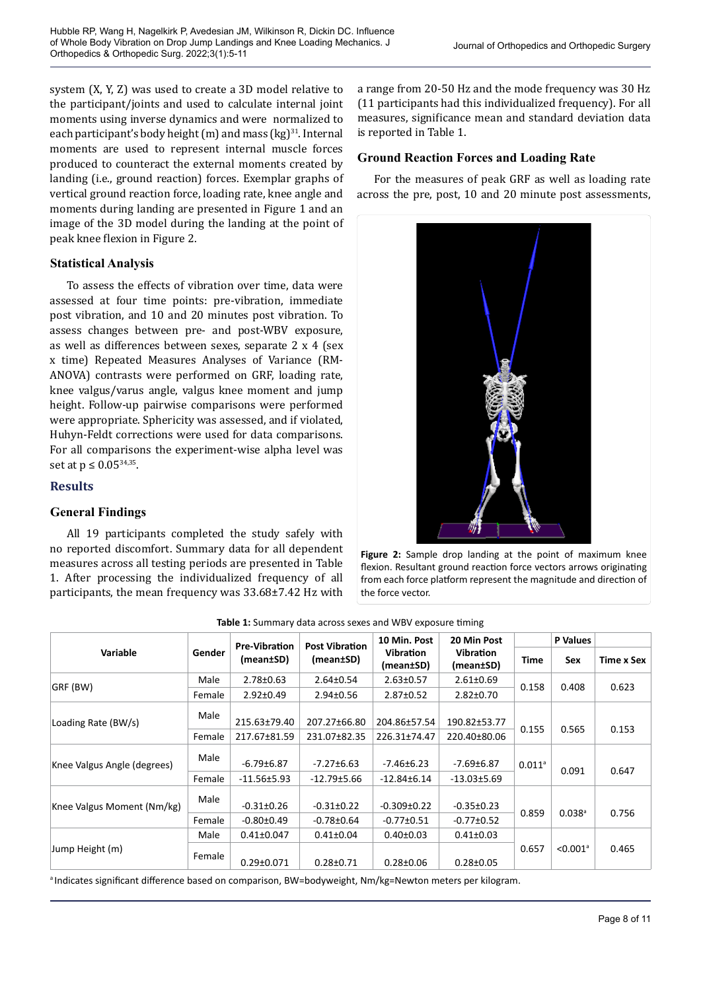system (X, Y, Z) was used to create a 3D model relative to the participant/joints and used to calculate internal joint moments using inverse dynamics and were normalized to each participant's body height  $(m)$  and mass  $(kg)^{31}$ . Internal moments are used to represent internal muscle forces produced to counteract the external moments created by landing (i.e., ground reaction) forces. Exemplar graphs of vertical ground reaction force, loading rate, knee angle and moments during landing are presented in Figure 1 and an image of the 3D model during the landing at the point of peak knee flexion in Figure 2.

#### **Statistical Analysis**

To assess the effects of vibration over time, data were assessed at four time points: pre-vibration, immediate post vibration, and 10 and 20 minutes post vibration. To assess changes between pre- and post-WBV exposure, as well as differences between sexes, separate 2 x 4 (sex x time) Repeated Measures Analyses of Variance (RM-ANOVA) contrasts were performed on GRF, loading rate, knee valgus/varus angle, valgus knee moment and jump height. Follow-up pairwise comparisons were performed were appropriate. Sphericity was assessed, and if violated, Huhyn-Feldt corrections were used for data comparisons. For all comparisons the experiment-wise alpha level was set at  $p \leq 0.05^{34,35}$ .

#### **Results**

# **General Findings**

All 19 participants completed the study safely with no reported discomfort. Summary data for all dependent measures across all testing periods are presented in Table 1. After processing the individualized frequency of all participants, the mean frequency was 33.68±7.42 Hz with

a range from 20-50 Hz and the mode frequency was 30 Hz (11 participants had this individualized frequency). For all measures, significance mean and standard deviation data is reported in Table 1.

#### **Ground Reaction Forces and Loading Rate**

For the measures of peak GRF as well as loading rate across the pre, post, 10 and 20 minute post assessments,



**Figure 2:** Sample drop landing at the point of maximum knee flexion. Resultant ground reaction force vectors arrows originating from each force platform represent the magnitude and direction of the force vector.

| Variable                    | Gender | <b>Pre-Vibration</b><br>(mean±SD) | <b>Post Vibration</b><br>(mean±SD) | 10 Min. Post<br><b>Vibration</b><br>(mean±SD) | 20 Min Post<br><b>Vibration</b><br>(mean±SD) |                      | P Values               |            |
|-----------------------------|--------|-----------------------------------|------------------------------------|-----------------------------------------------|----------------------------------------------|----------------------|------------------------|------------|
|                             |        |                                   |                                    |                                               |                                              | Time                 | <b>Sex</b>             | Time x Sex |
| GRF (BW)                    | Male   | $2.78 \pm 0.63$                   | $2.64 \pm 0.54$                    | $2.63 \pm 0.57$                               | $2.61 \pm 0.69$                              | 0.158                | 0.408                  | 0.623      |
|                             | Female | $2.92 \pm 0.49$                   | $2.94 \pm 0.56$                    | $2.87 \pm 0.52$                               | $2.82 \pm 0.70$                              |                      |                        |            |
| Loading Rate (BW/s)         | Male   | 215.63±79.40                      | 207.27±66.80                       | 204.86±57.54                                  | 190.82±53.77                                 | 0.155                | 0.565                  | 0.153      |
|                             | Female | 217.67±81.59                      | 231.07±82.35                       | 226.31±74.47                                  | 220.40±80.06                                 |                      |                        |            |
| Knee Valgus Angle (degrees) | Male   | $-6.79\pm 6.87$                   | $-7.27 \pm 6.63$                   | $-7.46\pm 6.23$                               | -7.69±6.87                                   | $0.011$ <sup>a</sup> | 0.091                  | 0.647      |
|                             | Female | $-11.56 \pm 5.93$                 | $-12.79 \pm 5.66$                  | $-12.84 \pm 6.14$                             | $-13.03 \pm 5.69$                            |                      |                        |            |
| Knee Valgus Moment (Nm/kg)  | Male   | $-0.31 \pm 0.26$                  | $-0.31 \pm 0.22$                   | $-0.309 \pm 0.22$                             | $-0.35 \pm 0.23$                             | 0.859                | $0.038$ <sup>a</sup>   | 0.756      |
|                             | Female | $-0.80 \pm 0.49$                  | $-0.78 \pm 0.64$                   | $-0.77 \pm 0.51$                              | $-0.77 \pm 0.52$                             |                      |                        |            |
| Jump Height (m)             | Male   | $0.41 \pm 0.047$                  | $0.41 \pm 0.04$                    | $0.40 \pm 0.03$                               | $0.41 \pm 0.03$                              | 0.657                | $< 0.001$ <sup>a</sup> | 0.465      |
|                             | Female | $0.29 \pm 0.071$                  | $0.28 \pm 0.71$                    | $0.28 \pm 0.06$                               | $0.28 \pm 0.05$                              |                      |                        |            |

**Table 1:** Summary data across sexes and WBV exposure timing

<sup>a</sup>Indicates significant difference based on comparison, BW=bodyweight, Nm/kg=Newton meters per kilogram.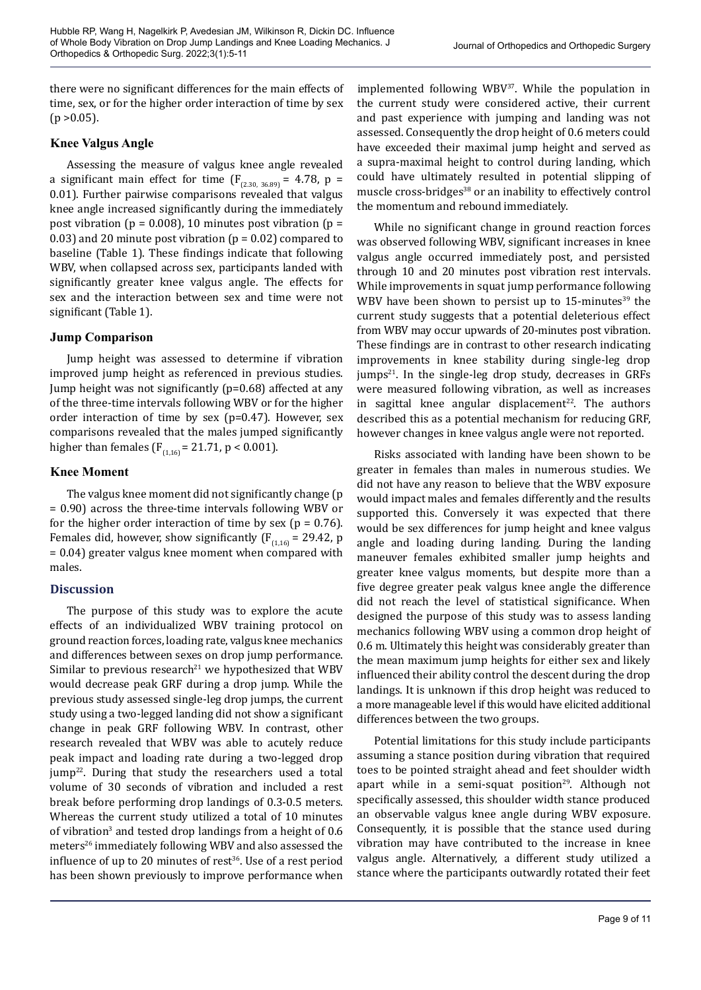there were no significant differences for the main effects of time, sex, or for the higher order interaction of time by sex  $(p > 0.05)$ .

# **Knee Valgus Angle**

Assessing the measure of valgus knee angle revealed a significant main effect for time  $(F_{(2.30, 36.89)} = 4.78, p =$ 0.01). Further pairwise comparisons revealed that valgus knee angle increased significantly during the immediately post vibration ( $p = 0.008$ ), 10 minutes post vibration ( $p =$ 0.03) and 20 minute post vibration ( $p = 0.02$ ) compared to baseline (Table 1). These findings indicate that following WBV, when collapsed across sex, participants landed with significantly greater knee valgus angle. The effects for sex and the interaction between sex and time were not significant (Table 1).

# **Jump Comparison**

Jump height was assessed to determine if vibration improved jump height as referenced in previous studies. Jump height was not significantly (p=0.68) affected at any of the three-time intervals following WBV or for the higher order interaction of time by sex (p=0.47). However, sex comparisons revealed that the males jumped significantly higher than females ( $F_{(1,16)} = 21.71$ , p < 0.001).

#### **Knee Moment**

The valgus knee moment did not significantly change (p = 0.90) across the three-time intervals following WBV or for the higher order interaction of time by sex ( $p = 0.76$ ). Females did, however, show significantly ( $F_{(1,16)} = 29.42$ , p = 0.04) greater valgus knee moment when compared with males.

# **Discussion**

The purpose of this study was to explore the acute effects of an individualized WBV training protocol on ground reaction forces, loading rate, valgus knee mechanics and differences between sexes on drop jump performance. Similar to previous research<sup>21</sup> we hypothesized that WBV would decrease peak GRF during a drop jump. While the previous study assessed single-leg drop jumps, the current study using a two-legged landing did not show a significant change in peak GRF following WBV. In contrast, other research revealed that WBV was able to acutely reduce peak impact and loading rate during a two-legged drop jump<sup>22</sup>. During that study the researchers used a total volume of 30 seconds of vibration and included a rest break before performing drop landings of 0.3-0.5 meters. Whereas the current study utilized a total of 10 minutes of vibration<sup>3</sup> and tested drop landings from a height of 0.6 meters<sup>26</sup> immediately following WBV and also assessed the influence of up to 20 minutes of rest<sup>36</sup>. Use of a rest period has been shown previously to improve performance when

implemented following WBV<sup>37</sup>. While the population in the current study were considered active, their current and past experience with jumping and landing was not assessed. Consequently the drop height of 0.6 meters could have exceeded their maximal jump height and served as a supra-maximal height to control during landing, which could have ultimately resulted in potential slipping of muscle cross-bridges<sup>38</sup> or an inability to effectively control the momentum and rebound immediately.

While no significant change in ground reaction forces was observed following WBV, significant increases in knee valgus angle occurred immediately post, and persisted through 10 and 20 minutes post vibration rest intervals. While improvements in squat jump performance following WBV have been shown to persist up to  $15$ -minutes<sup>39</sup> the current study suggests that a potential deleterious effect from WBV may occur upwards of 20-minutes post vibration. These findings are in contrast to other research indicating improvements in knee stability during single-leg drop  $jumps<sup>21</sup>$ . In the single-leg drop study, decreases in GRFs were measured following vibration, as well as increases in sagittal knee angular displacement $22$ . The authors described this as a potential mechanism for reducing GRF, however changes in knee valgus angle were not reported.

Risks associated with landing have been shown to be greater in females than males in numerous studies. We did not have any reason to believe that the WBV exposure would impact males and females differently and the results supported this. Conversely it was expected that there would be sex differences for jump height and knee valgus angle and loading during landing. During the landing maneuver females exhibited smaller jump heights and greater knee valgus moments, but despite more than a five degree greater peak valgus knee angle the difference did not reach the level of statistical significance. When designed the purpose of this study was to assess landing mechanics following WBV using a common drop height of 0.6 m. Ultimately this height was considerably greater than the mean maximum jump heights for either sex and likely influenced their ability control the descent during the drop landings. It is unknown if this drop height was reduced to a more manageable level if this would have elicited additional differences between the two groups.

Potential limitations for this study include participants assuming a stance position during vibration that required toes to be pointed straight ahead and feet shoulder width apart while in a semi-squat position<sup>29</sup>. Although not specifically assessed, this shoulder width stance produced an observable valgus knee angle during WBV exposure. Consequently, it is possible that the stance used during vibration may have contributed to the increase in knee valgus angle. Alternatively, a different study utilized a stance where the participants outwardly rotated their feet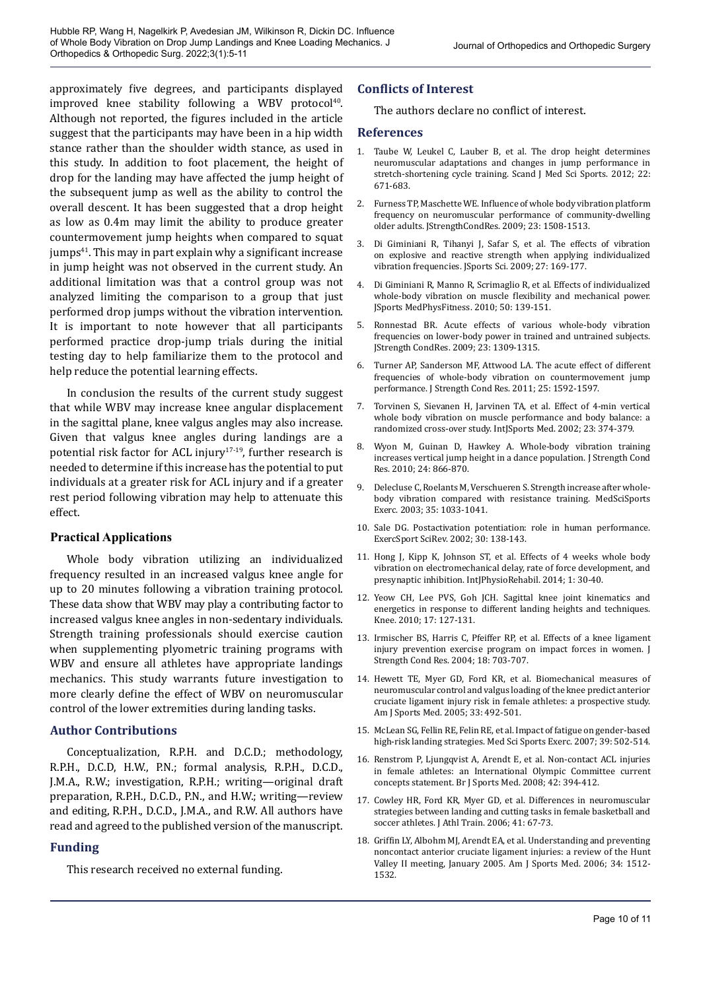approximately five degrees, and participants displayed improved knee stability following a WBV protocol $40$ . Although not reported, the figures included in the article suggest that the participants may have been in a hip width stance rather than the shoulder width stance, as used in this study. In addition to foot placement, the height of drop for the landing may have affected the jump height of the subsequent jump as well as the ability to control the overall descent. It has been suggested that a drop height as low as 0.4m may limit the ability to produce greater countermovement jump heights when compared to squat  $jumps<sup>41</sup>$ . This may in part explain why a significant increase in jump height was not observed in the current study. An additional limitation was that a control group was not analyzed limiting the comparison to a group that just performed drop jumps without the vibration intervention. It is important to note however that all participants performed practice drop-jump trials during the initial testing day to help familiarize them to the protocol and help reduce the potential learning effects.

In conclusion the results of the current study suggest that while WBV may increase knee angular displacement in the sagittal plane, knee valgus angles may also increase. Given that valgus knee angles during landings are a potential risk factor for ACL injury<sup>17-19</sup>, further research is needed to determine if this increase has the potential to put individuals at a greater risk for ACL injury and if a greater rest period following vibration may help to attenuate this effect.

#### **Practical Applications**

Whole body vibration utilizing an individualized frequency resulted in an increased valgus knee angle for up to 20 minutes following a vibration training protocol. These data show that WBV may play a contributing factor to increased valgus knee angles in non-sedentary individuals. Strength training professionals should exercise caution when supplementing plyometric training programs with WBV and ensure all athletes have appropriate landings mechanics. This study warrants future investigation to more clearly define the effect of WBV on neuromuscular control of the lower extremities during landing tasks.

#### **Author Contributions**

Conceptualization, R.P.H. and D.C.D.; methodology, R.P.H., D.C.D, H.W., P.N.; formal analysis, R.P.H., D.C.D., J.M.A., R.W.; investigation, R.P.H.; writing—original draft preparation, R.P.H., D.C.D., P.N., and H.W.; writing—review and editing, R.P.H., D.C.D., J.M.A., and R.W. All authors have read and agreed to the published version of the manuscript.

#### **Funding**

This research received no external funding.

#### **Conflicts of Interest**

The authors declare no conflict of interest.

#### **References**

- 1. Taube W, Leukel C, Lauber B, et al. The drop height determines neuromuscular adaptations and changes in jump performance in stretch-shortening cycle training. Scand J Med Sci Sports. 2012; 22: 671-683.
- 2. Furness TP, Maschette WE. Influence of whole body vibration platform frequency on neuromuscular performance of community-dwelling older adults. JStrengthCondRes. 2009; 23: 1508-1513.
- 3. Di Giminiani R, Tihanyi J, Safar S, et al. The effects of vibration on explosive and reactive strength when applying individualized vibration frequencies. JSports Sci. 2009; 27: 169-177.
- 4. Di Giminiani R, Manno R, Scrimaglio R, et al. Effects of individualized whole-body vibration on muscle flexibility and mechanical power. JSports MedPhysFitness. 2010; 50: 139-151.
- 5. Ronnestad BR. Acute effects of various whole-body vibration frequencies on lower-body power in trained and untrained subjects. JStrength CondRes. 2009; 23: 1309-1315.
- 6. Turner AP, Sanderson MF, Attwood LA. The acute effect of different frequencies of whole-body vibration on countermovement jump performance. J Strength Cond Res. 2011; 25: 1592-1597.
- 7. Torvinen S, Sievanen H, Jarvinen TA, et al. Effect of 4-min vertical whole body vibration on muscle performance and body balance: a randomized cross-over study. IntJSports Med. 2002; 23: 374-379.
- 8. Wyon M, Guinan D, Hawkey A. Whole-body vibration training increases vertical jump height in a dance population. J Strength Cond Res. 2010; 24: 866-870.
- 9. Delecluse C, Roelants M, Verschueren S. Strength increase after wholebody vibration compared with resistance training. MedSciSports Exerc. 2003; 35: 1033-1041.
- 10. Sale DG. Postactivation potentiation: role in human performance. ExercSport SciRev. 2002; 30: 138-143.
- 11. Hong J, Kipp K, Johnson ST, et al. Effects of 4 weeks whole body vibration on electromechanical delay, rate of force development, and presynaptic inhibition. IntJPhysioRehabil. 2014; 1: 30-40.
- 12. Yeow CH, Lee PVS, Goh JCH. Sagittal knee joint kinematics and energetics in response to different landing heights and techniques. Knee. 2010; 17: 127-131.
- 13. Irmischer BS, Harris C, Pfeiffer RP, et al. Effects of a knee ligament injury prevention exercise program on impact forces in women. J Strength Cond Res. 2004; 18: 703-707.
- 14. Hewett TE, Myer GD, Ford KR, et al. Biomechanical measures of neuromuscular control and valgus loading of the knee predict anterior cruciate ligament injury risk in female athletes: a prospective study. Am J Sports Med. 2005; 33: 492-501.
- 15. McLean SG, Fellin RE, Felin RE, et al. Impact of fatigue on gender-based high-risk landing strategies. Med Sci Sports Exerc. 2007; 39: 502-514.
- 16. Renstrom P, Ljungqvist A, Arendt E, et al. Non-contact ACL injuries in female athletes: an International Olympic Committee current concepts statement. Br J Sports Med. 2008; 42: 394-412.
- 17. Cowley HR, Ford KR, Myer GD, et al. Differences in neuromuscular strategies between landing and cutting tasks in female basketball and soccer athletes. J Athl Train. 2006; 41: 67-73.
- 18. Griffin LY, Albohm MJ, Arendt EA, et al. Understanding and preventing noncontact anterior cruciate ligament injuries: a review of the Hunt Valley II meeting, January 2005. Am J Sports Med. 2006; 34: 1512- 1532.